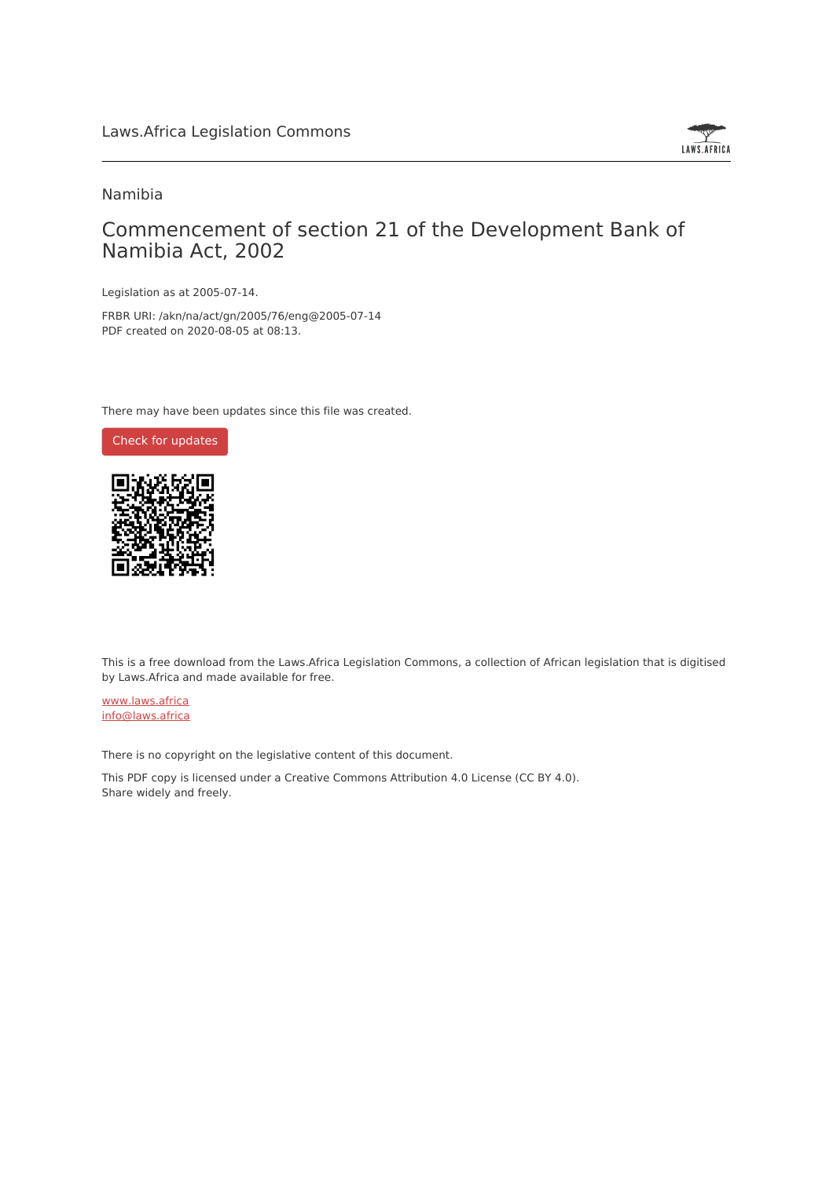

#### Namibia

### Commencement of section 21 of the Development Bank of Namibia Act, 2002

Legislation as at 2005-07-14.

FRBR URI: /akn/na/act/gn/2005/76/eng@2005-07-14 PDF created on 2020-08-05 at 08:13.

There may have been updates since this file was created.



This is a free download from the Laws.Africa Legislation Commons, a collection of African legislation that is digitised by Laws.Africa and made available for free.

[www.laws.africa](https://www.laws.africa) [info@laws.africa](mailto:info@laws.africa)

There is no copyright on the legislative content of this document.

This PDF copy is licensed under a Creative Commons Attribution 4.0 License (CC BY 4.0). Share widely and freely.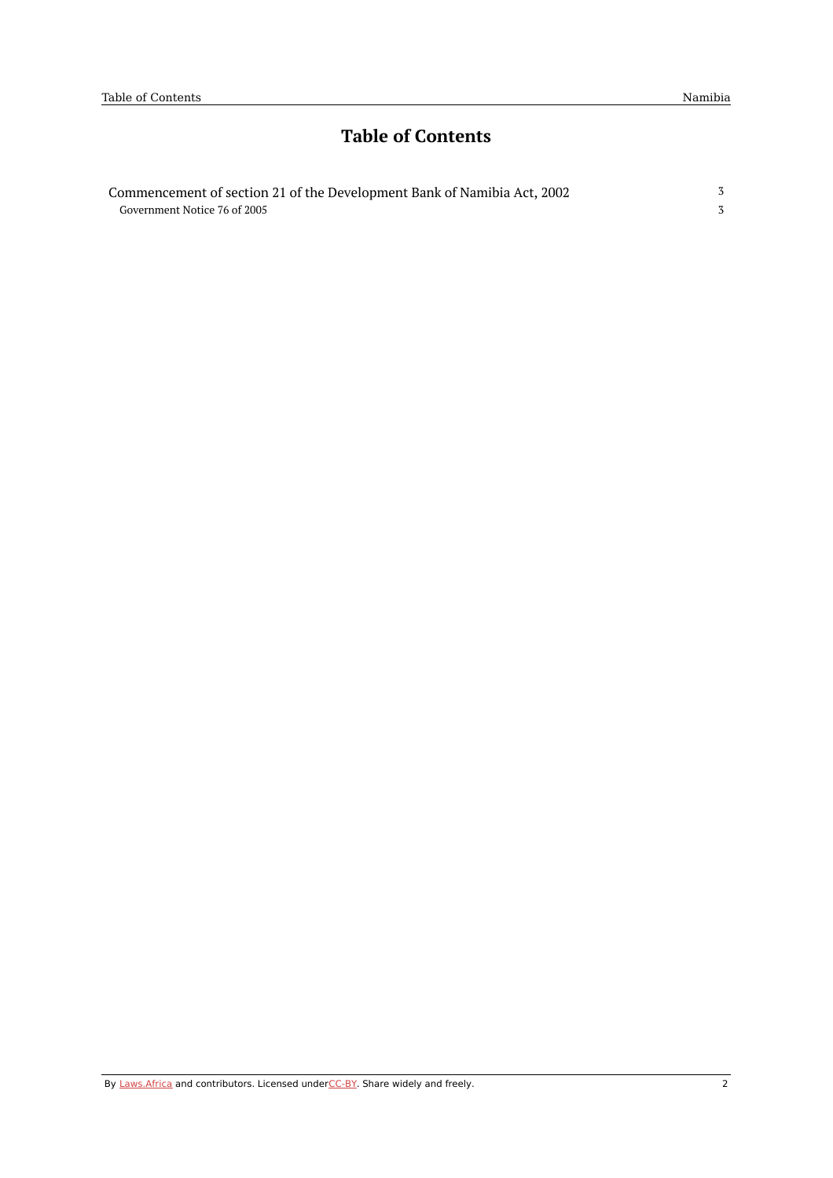## **Table of Contents**

| Commencement of section 21 of the Development Bank of Namibia Act, 2002 |  |
|-------------------------------------------------------------------------|--|
| Government Notice 76 of 2005                                            |  |